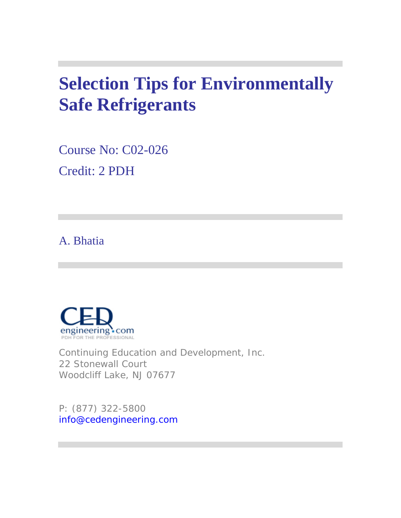# **Selection Tips for Environmentally Safe Refrigerants**

Course No: C02-026 Credit: 2 PDH

# A. Bhatia



Continuing Education and Development, Inc. 22 Stonewall Court Woodcliff Lake, NJ 07677

P: (877) 322-5800 info@cedengineering.com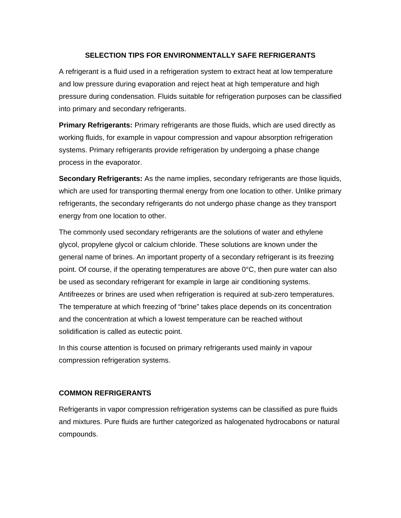# **SELECTION TIPS FOR ENVIRONMENTALLY SAFE REFRIGERANTS**

A refrigerant is a fluid used in a refrigeration system to extract heat at low temperature and low pressure during evaporation and reject heat at high temperature and high pressure during condensation. Fluids suitable for refrigeration purposes can be classified into primary and secondary refrigerants.

**Primary Refrigerants:** Primary refrigerants are those fluids, which are used directly as working fluids, for example in vapour compression and vapour absorption refrigeration systems. Primary refrigerants provide refrigeration by undergoing a phase change process in the evaporator.

**Secondary Refrigerants:** As the name implies, secondary refrigerants are those liquids, which are used for transporting thermal energy from one location to other. Unlike primary refrigerants, the secondary refrigerants do not undergo phase change as they transport energy from one location to other.

The commonly used secondary refrigerants are the solutions of water and ethylene glycol, propylene glycol or calcium chloride. These solutions are known under the general name of brines. An important property of a secondary refrigerant is its freezing point. Of course, if the operating temperatures are above  $0^{\circ}$ C, then pure water can also be used as secondary refrigerant for example in large air conditioning systems. Antifreezes or brines are used when refrigeration is required at sub-zero temperatures. The temperature at which freezing of "brine" takes place depends on its concentration and the concentration at which a lowest temperature can be reached without solidification is called as eutectic point.

In this course attention is focused on primary refrigerants used mainly in vapour compression refrigeration systems.

#### **COMMON REFRIGERANTS**

Refrigerants in vapor compression refrigeration systems can be classified as pure fluids and mixtures. Pure fluids are further categorized as halogenated hydrocabons or natural compounds.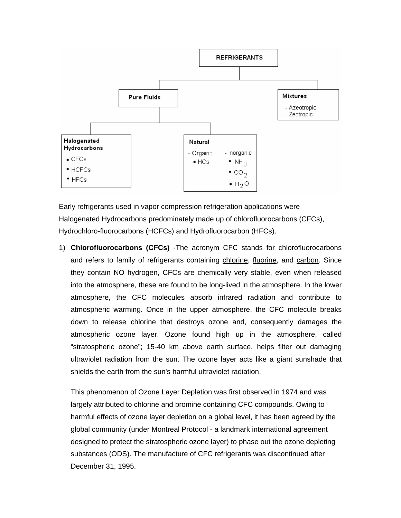

Early refrigerants used in vapor compression refrigeration applications were Halogenated Hydrocarbons predominately made up of chlorofluorocarbons (CFCs), Hydrochloro-fluorocarbons (HCFCs) and Hydrofluorocarbon (HFCs).

1) **Chlorofluorocarbons (CFCs)** -The acronym CFC stands for chlorofluorocarbons and refers to family of refrigerants containing chlorine, fluorine, and carbon. Since they contain NO hydrogen, CFCs are chemically very stable, even when released into the atmosphere, these are found to be long-lived in the atmosphere. In the lower atmosphere, the CFC molecules absorb infrared radiation and contribute to atmospheric warming. Once in the upper atmosphere, the CFC molecule breaks down to release chlorine that destroys ozone and, consequently damages the atmospheric ozone layer. Ozone found high up in the atmosphere, called "stratospheric ozone"; 15-40 km above earth surface, helps filter out damaging ultraviolet radiation from the sun. The ozone layer acts like a giant sunshade that shields the earth from the sun's harmful ultraviolet radiation.

This phenomenon of Ozone Layer Depletion was first observed in 1974 and was largely attributed to chlorine and bromine containing CFC compounds. Owing to harmful effects of ozone layer depletion on a global level, it has been agreed by the global community (under Montreal Protocol - a landmark international agreement designed to protect the stratospheric ozone layer) to phase out the ozone depleting substances (ODS). The manufacture of CFC refrigerants was discontinued after December 31, 1995.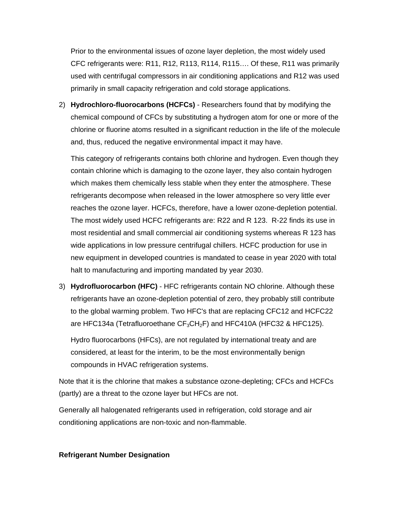Prior to the environmental issues of ozone layer depletion, the most widely used CFC refrigerants were: R11, R12, R113, R114, R115…. Of these, R11 was primarily used with centrifugal compressors in air conditioning applications and R12 was used primarily in small capacity refrigeration and cold storage applications.

2) **Hydrochloro-fluorocarbons (HCFCs)** - Researchers found that by modifying the chemical compound of CFCs by substituting a hydrogen atom for one or more of the chlorine or fluorine atoms resulted in a significant reduction in the life of the molecule and, thus, reduced the negative environmental impact it may have.

This category of refrigerants contains both chlorine and hydrogen. Even though they contain chlorine which is damaging to the ozone layer, they also contain hydrogen which makes them chemically less stable when they enter the atmosphere. These refrigerants decompose when released in the lower atmosphere so very little ever reaches the ozone layer. HCFCs, therefore, have a lower ozone-depletion potential. The most widely used HCFC refrigerants are: R22 and R 123. R-22 finds its use in most residential and small commercial air conditioning systems whereas R 123 has wide applications in low pressure centrifugal chillers. HCFC production for use in new equipment in developed countries is mandated to cease in year 2020 with total halt to manufacturing and importing mandated by year 2030.

3) **Hydrofluorocarbon (HFC)** - HFC refrigerants contain NO chlorine. Although these refrigerants have an ozone-depletion potential of zero, they probably still contribute to the global warming problem. Two HFC's that are replacing CFC12 and HCFC22 are HFC134a (Tetrafluoroethane  $CF_3CH_2F$ ) and HFC410A (HFC32 & HFC125).

Hydro fluorocarbons (HFCs), are not regulated by international treaty and are considered, at least for the interim, to be the most environmentally benign compounds in HVAC refrigeration systems.

Note that it is the chlorine that makes a substance ozone-depleting; CFCs and HCFCs (partly) are a threat to the ozone layer but HFCs are not.

Generally all halogenated refrigerants used in refrigeration, cold storage and air conditioning applications are non-toxic and non-flammable.

#### **Refrigerant Number Designation**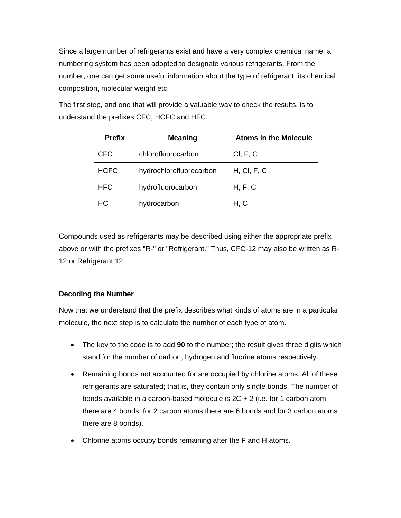Since a large number of refrigerants exist and have a very complex chemical name, a numbering system has been adopted to designate various refrigerants. From the number, one can get some useful information about the type of refrigerant, its chemical composition, molecular weight etc.

The first step, and one that will provide a valuable way to check the results, is to understand the prefixes CFC, HCFC and HFC.

| <b>Prefix</b> | <b>Meaning</b>          | <b>Atoms in the Molecule</b> |
|---------------|-------------------------|------------------------------|
| <b>CFC</b>    | chlorofluorocarbon      | Cl, F, C                     |
| <b>HCFC</b>   | hydrochlorofluorocarbon | H, Cl, F, C                  |
| <b>HFC</b>    | hydrofluorocarbon       | H, F, C                      |
| HС            | hydrocarbon             | H, C                         |

Compounds used as refrigerants may be described using either the appropriate prefix above or with the prefixes "R-" or "Refrigerant." Thus, CFC-12 may also be written as R-12 or Refrigerant 12.

# **Decoding the Number**

Now that we understand that the prefix describes what kinds of atoms are in a particular molecule, the next step is to calculate the number of each type of atom.

- The key to the code is to add **90** to the number; the result gives three digits which stand for the number of carbon, hydrogen and fluorine atoms respectively.
- Remaining bonds not accounted for are occupied by chlorine atoms. All of these refrigerants are saturated; that is, they contain only single bonds. The number of bonds available in a carbon-based molecule is 2C + 2 (i.e. for 1 carbon atom, there are 4 bonds; for 2 carbon atoms there are 6 bonds and for 3 carbon atoms there are 8 bonds).
- Chlorine atoms occupy bonds remaining after the F and H atoms.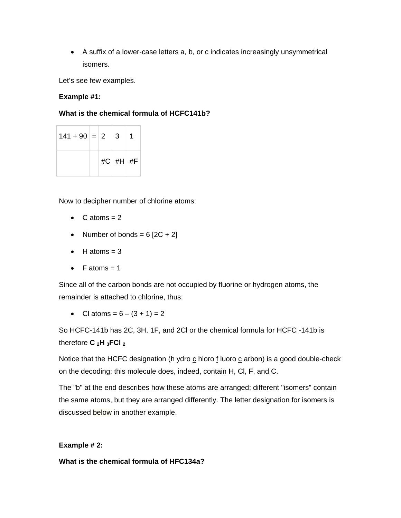• A suffix of a lower-case letters a, b, or c indicates increasingly unsymmetrical isomers.

Let's see few examples.

# **Example #1:**

# **What is the chemical formula of HCFC141b?**

| $141 + 90 = 2$ |  | 3           |  |
|----------------|--|-------------|--|
|                |  | $\#C$ #H #F |  |

Now to decipher number of chlorine atoms:

- $C$  atoms  $= 2$
- Number of bonds =  $6$   $[2C + 2]$
- $\bullet$  H atoms = 3
- F atoms  $= 1$

Since all of the carbon bonds are not occupied by fluorine or hydrogen atoms, the remainder is attached to chlorine, thus:

• Cl atoms =  $6 - (3 + 1) = 2$ 

So HCFC-141b has 2C, 3H, 1F, and 2Cl or the chemical formula for HCFC -141b is therefore **C 2H 3FCl 2**

Notice that the HCFC designation (h ydro  $\underline{c}$  hloro  $\underline{f}$  luoro  $\underline{c}$  arbon) is a good double-check on the decoding; this molecule does, indeed, contain H, Cl, F, and C.

The "b" at the end describes how these atoms are arranged; different "isomers" contain the same atoms, but they are arranged differently. The letter designation for isomers is discussed below in another example.

# **Example # 2:**

**What is the chemical formula of HFC134a?**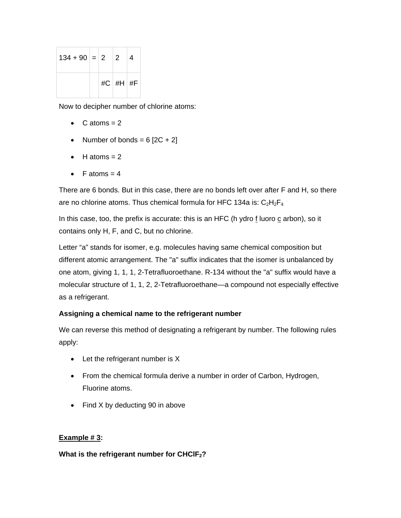| $134 + 90 = 2$ 2 |  |          | 4 |
|------------------|--|----------|---|
|                  |  | #C #H #F |   |

Now to decipher number of chlorine atoms:

- $C$  atoms  $= 2$
- Number of bonds =  $6$   $[2C + 2]$
- $\bullet$  H atoms = 2
- F atoms  $= 4$

There are 6 bonds. But in this case, there are no bonds left over after F and H, so there are no chlorine atoms. Thus chemical formula for HFC 134a is:  $C_2H_2F_4$ 

In this case, too, the prefix is accurate: this is an HFC (h ydro  $f$  luoro  $f$  arbon), so it contains only H, F, and C, but no chlorine.

Letter "a" stands for isomer, e.g. molecules having same chemical composition but different atomic arrangement. The "a" suffix indicates that the isomer is unbalanced by one atom, giving 1, 1, 1, 2-Tetrafluoroethane. R-134 without the "a" suffix would have a molecular structure of 1, 1, 2, 2-Tetrafluoroethane—a compound not especially effective as a refrigerant.

# **Assigning a chemical name to the refrigerant number**

We can reverse this method of designating a refrigerant by number. The following rules apply:

- Let the refrigerant number is X
- From the chemical formula derive a number in order of Carbon, Hydrogen, Fluorine atoms.
- Find X by deducting 90 in above

# **Example # 3:**

# **What is the refrigerant number for CHClF2?**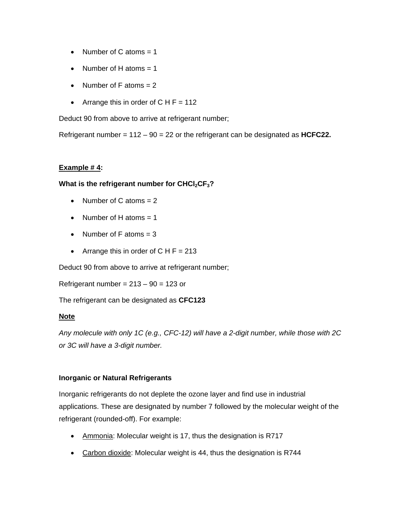- Number of C atoms  $= 1$
- Number of H atoms  $= 1$
- Number of  $F$  atoms  $= 2$
- Arrange this in order of  $CHF = 112$

Deduct 90 from above to arrive at refrigerant number;

Refrigerant number = 112 – 90 = 22 or the refrigerant can be designated as **HCFC22.** 

#### **Example # 4:**

#### **What is the refrigerant number for CHCl<sub>2</sub>CF<sub>3</sub>?**

- Number of C atoms  $= 2$
- Number of H atoms  $= 1$
- Number of  $F$  atoms = 3
- Arrange this in order of  $CHF = 213$

Deduct 90 from above to arrive at refrigerant number;

Refrigerant number =  $213 - 90 = 123$  or

The refrigerant can be designated as **CFC123**

#### **Note**

*Any molecule with only 1C (e.g., CFC-12) will have a 2-digit number, while those with 2C or 3C will have a 3-digit number.* 

# **Inorganic or Natural Refrigerants**

Inorganic refrigerants do not deplete the ozone layer and find use in industrial applications. These are designated by number 7 followed by the molecular weight of the refrigerant (rounded-off). For example:

- Ammonia: Molecular weight is 17, thus the designation is R717
- Carbon dioxide: Molecular weight is 44, thus the designation is R744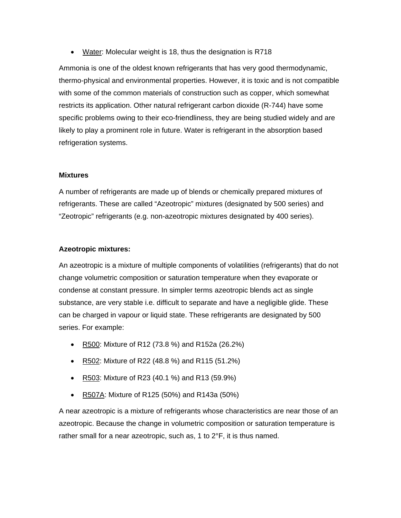• Water: Molecular weight is 18, thus the designation is R718

Ammonia is one of the oldest known refrigerants that has very good thermodynamic, thermo-physical and environmental properties. However, it is toxic and is not compatible with some of the common materials of construction such as copper, which somewhat restricts its application. Other natural refrigerant carbon dioxide (R-744) have some specific problems owing to their eco-friendliness, they are being studied widely and are likely to play a prominent role in future. Water is refrigerant in the absorption based refrigeration systems.

#### **Mixtures**

A number of refrigerants are made up of blends or chemically prepared mixtures of refrigerants. These are called "Azeotropic" mixtures (designated by 500 series) and "Zeotropic" refrigerants (e.g. non-azeotropic mixtures designated by 400 series).

#### **Azeotropic mixtures:**

An azeotropic is a mixture of multiple components of volatilities (refrigerants) that do not change volumetric composition or saturation temperature when they evaporate or condense at constant pressure. In simpler terms azeotropic blends act as single substance, are very stable i.e. difficult to separate and have a negligible glide. These can be charged in vapour or liquid state. These refrigerants are designated by 500 series. For example:

- R500: Mixture of R12 (73.8 %) and R152a (26.2%)
- R502: Mixture of R22 (48.8 %) and R115 (51.2%)
- R503: Mixture of R23 (40.1 %) and R13 (59.9%)
- R507A: Mixture of R125 (50%) and R143a (50%)

A near azeotropic is a mixture of refrigerants whose characteristics are near those of an azeotropic. Because the change in volumetric composition or saturation temperature is rather small for a near azeotropic, such as, 1 to 2°F, it is thus named.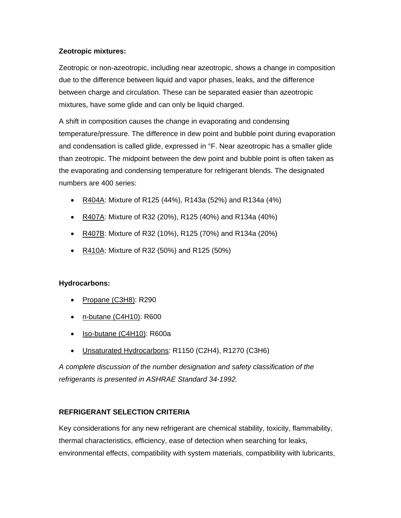# **Zeotropic mixtures:**

Zeotropic or non-azeotropic, including near azeotropic, shows a change in composition due to the difference between liquid and vapor phases, leaks, and the difference between charge and circulation. These can be separated easier than azeotropic mixtures, have some glide and can only be liquid charged.

A shift in composition causes the change in evaporating and condensing temperature/pressure. The difference in dew point and bubble point during evaporation and condensation is called glide, expressed in °F. Near azeotropic has a smaller glide than zeotropic. The midpoint between the dew point and bubble point is often taken as the evaporating and condensing temperature for refrigerant blends. The designated numbers are 400 series:

- R404A: Mixture of R125 (44%), R143a (52%) and R134a (4%)
- R407A: Mixture of R32 (20%), R125 (40%) and R134a (40%)
- R407B: Mixture of R32 (10%), R125 (70%) and R134a (20%)
- R410A: Mixture of R32 (50%) and R125 (50%)

# **Hydrocarbons:**

- Propane (C3H8): R290
- n-butane (C4H10): R600
- Iso-butane (C4H10): R600a
- Unsaturated Hydrocarbons: R1150 (C2H4), R1270 (C3H6)

*A complete discussion of the number designation and safety classification of the refrigerants is presented in ASHRAE Standard 34-1992.* 

# **REFRIGERANT SELECTION CRITERIA**

Key considerations for any new refrigerant are chemical stability, toxicity, flammability, thermal characteristics, efficiency, ease of detection when searching for leaks, environmental effects, compatibility with system materials, compatibility with lubricants,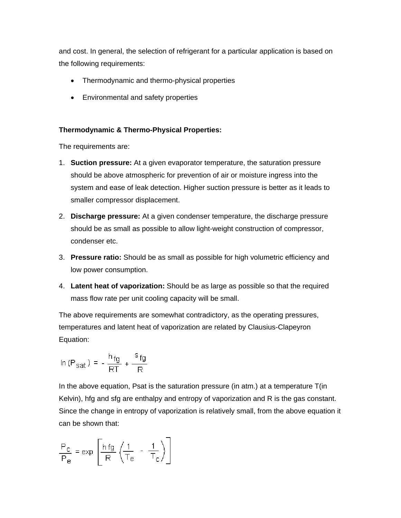and cost. In general, the selection of refrigerant for a particular application is based on the following requirements:

- Thermodynamic and thermo-physical properties
- Environmental and safety properties

# **Thermodynamic & Thermo-Physical Properties:**

The requirements are:

- 1. **Suction pressure:** At a given evaporator temperature, the saturation pressure should be above atmospheric for prevention of air or moisture ingress into the system and ease of leak detection. Higher suction pressure is better as it leads to smaller compressor displacement.
- 2. **Discharge pressure:** At a given condenser temperature, the discharge pressure should be as small as possible to allow light-weight construction of compressor, condenser etc.
- 3. **Pressure ratio:** Should be as small as possible for high volumetric efficiency and low power consumption.
- 4. **Latent heat of vaporization:** Should be as large as possible so that the required mass flow rate per unit cooling capacity will be small.

The above requirements are somewhat contradictory, as the operating pressures, temperatures and latent heat of vaporization are related by Clausius-Clapeyron Equation:

$$
\ln\left(\mathsf{P}_{\mathsf{sat}}\right) = -\frac{\mathsf{h}_{\mathsf{fg}}}{\mathsf{RT}} + \frac{\mathsf{s}_{\mathsf{fg}}}{\mathsf{R}}
$$

In the above equation, Psat is the saturation pressure (in atm.) at a temperature T(in Kelvin), hfg and sfg are enthalpy and entropy of vaporization and R is the gas constant. Since the change in entropy of vaporization is relatively small, from the above equation it can be shown that:

$$
\frac{P_C}{P_e} = \exp\left[\frac{h\,\text{fg}}{R}\left(\frac{1}{T_e} - \frac{1}{T_c}\right)\right]
$$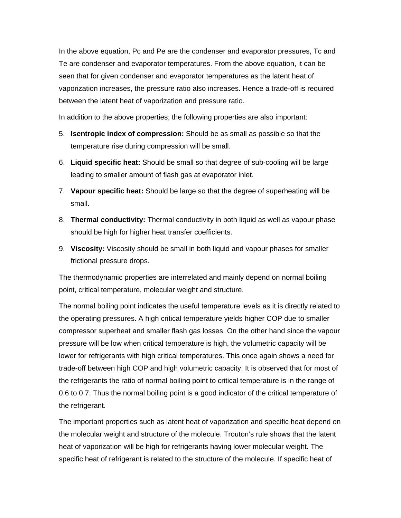In the above equation, Pc and Pe are the condenser and evaporator pressures, Tc and Te are condenser and evaporator temperatures. From the above equation, it can be seen that for given condenser and evaporator temperatures as the latent heat of vaporization increases, the pressure ratio also increases. Hence a trade-off is required between the latent heat of vaporization and pressure ratio.

In addition to the above properties; the following properties are also important:

- 5. **Isentropic index of compression:** Should be as small as possible so that the temperature rise during compression will be small.
- 6. **Liquid specific heat:** Should be small so that degree of sub-cooling will be large leading to smaller amount of flash gas at evaporator inlet.
- 7. **Vapour specific heat:** Should be large so that the degree of superheating will be small.
- 8. **Thermal conductivity:** Thermal conductivity in both liquid as well as vapour phase should be high for higher heat transfer coefficients.
- 9. **Viscosity:** Viscosity should be small in both liquid and vapour phases for smaller frictional pressure drops.

The thermodynamic properties are interrelated and mainly depend on normal boiling point, critical temperature, molecular weight and structure.

The normal boiling point indicates the useful temperature levels as it is directly related to the operating pressures. A high critical temperature yields higher COP due to smaller compressor superheat and smaller flash gas losses. On the other hand since the vapour pressure will be low when critical temperature is high, the volumetric capacity will be lower for refrigerants with high critical temperatures. This once again shows a need for trade-off between high COP and high volumetric capacity. It is observed that for most of the refrigerants the ratio of normal boiling point to critical temperature is in the range of 0.6 to 0.7. Thus the normal boiling point is a good indicator of the critical temperature of the refrigerant.

The important properties such as latent heat of vaporization and specific heat depend on the molecular weight and structure of the molecule. Trouton's rule shows that the latent heat of vaporization will be high for refrigerants having lower molecular weight. The specific heat of refrigerant is related to the structure of the molecule. If specific heat of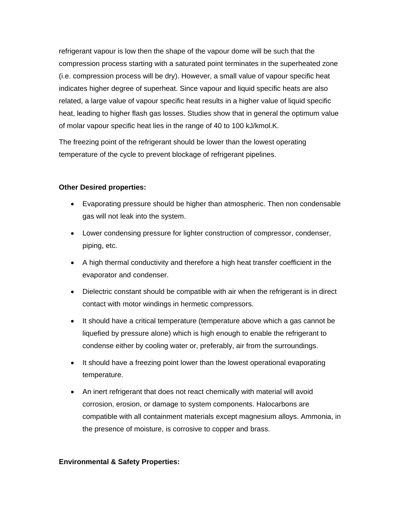refrigerant vapour is low then the shape of the vapour dome will be such that the compression process starting with a saturated point terminates in the superheated zone (i.e. compression process will be dry). However, a small value of vapour specific heat indicates higher degree of superheat. Since vapour and liquid specific heats are also related, a large value of vapour specific heat results in a higher value of liquid specific heat, leading to higher flash gas losses. Studies show that in general the optimum value of molar vapour specific heat lies in the range of 40 to 100 kJ/kmol.K.

The freezing point of the refrigerant should be lower than the lowest operating temperature of the cycle to prevent blockage of refrigerant pipelines.

# **Other Desired properties:**

- Evaporating pressure should be higher than atmospheric. Then non condensable gas will not leak into the system.
- Lower condensing pressure for lighter construction of compressor, condenser, piping, etc.
- A high thermal conductivity and therefore a high heat transfer coefficient in the evaporator and condenser.
- Dielectric constant should be compatible with air when the refrigerant is in direct contact with motor windings in hermetic compressors.
- It should have a critical temperature (temperature above which a gas cannot be liquefied by pressure alone) which is high enough to enable the refrigerant to condense either by cooling water or, preferably, air from the surroundings.
- It should have a freezing point lower than the lowest operational evaporating temperature.
- An inert refrigerant that does not react chemically with material will avoid corrosion, erosion, or damage to system components. Halocarbons are compatible with all containment materials except magnesium alloys. Ammonia, in the presence of moisture, is corrosive to copper and brass.

#### **Environmental & Safety Properties:**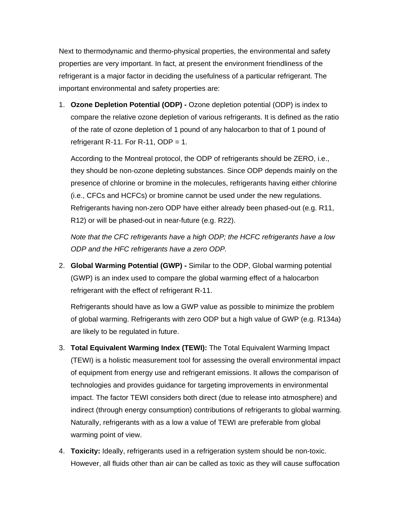Next to thermodynamic and thermo-physical properties, the environmental and safety properties are very important. In fact, at present the environment friendliness of the refrigerant is a major factor in deciding the usefulness of a particular refrigerant. The important environmental and safety properties are:

1. **Ozone Depletion Potential (ODP) -** Ozone depletion potential (ODP) is index to compare the relative ozone depletion of various refrigerants. It is defined as the ratio of the rate of ozone depletion of 1 pound of any halocarbon to that of 1 pound of refrigerant R-11. For R-11, ODP = 1.

According to the Montreal protocol, the ODP of refrigerants should be ZERO, i.e., they should be non-ozone depleting substances. Since ODP depends mainly on the presence of chlorine or bromine in the molecules, refrigerants having either chlorine (i.e., CFCs and HCFCs) or bromine cannot be used under the new regulations. Refrigerants having non-zero ODP have either already been phased-out (e.g. R11, R12) or will be phased-out in near-future (e.g. R22).

*Note that the CFC refrigerants have a high ODP; the HCFC refrigerants have a low ODP and the HFC refrigerants have a zero ODP.* 

2. **Global Warming Potential (GWP) -** Similar to the ODP, Global warming potential (GWP) is an index used to compare the global warming effect of a halocarbon refrigerant with the effect of refrigerant R-11.

Refrigerants should have as low a GWP value as possible to minimize the problem of global warming. Refrigerants with zero ODP but a high value of GWP (e.g. R134a) are likely to be regulated in future.

- 3. **Total Equivalent Warming Index (TEWI):** The Total Equivalent Warming Impact (TEWI) is a holistic measurement tool for assessing the overall environmental impact of equipment from energy use and refrigerant emissions. It allows the comparison of technologies and provides guidance for targeting improvements in environmental impact. The factor TEWI considers both direct (due to release into atmosphere) and indirect (through energy consumption) contributions of refrigerants to global warming. Naturally, refrigerants with as a low a value of TEWI are preferable from global warming point of view.
- 4. **Toxicity:** Ideally, refrigerants used in a refrigeration system should be non-toxic. However, all fluids other than air can be called as toxic as they will cause suffocation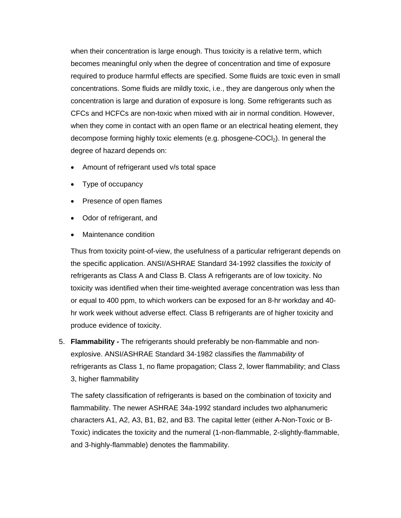when their concentration is large enough. Thus toxicity is a relative term, which becomes meaningful only when the degree of concentration and time of exposure required to produce harmful effects are specified. Some fluids are toxic even in small concentrations. Some fluids are mildly toxic, i.e., they are dangerous only when the concentration is large and duration of exposure is long. Some refrigerants such as CFCs and HCFCs are non-toxic when mixed with air in normal condition. However, when they come in contact with an open flame or an electrical heating element, they decompose forming highly toxic elements (e.g. phosgene-COCl<sub>2</sub>). In general the degree of hazard depends on:

- Amount of refrigerant used v/s total space
- Type of occupancy
- Presence of open flames
- Odor of refrigerant, and
- Maintenance condition

Thus from toxicity point-of-view, the usefulness of a particular refrigerant depends on the specific application. ANSI/ASHRAE Standard 34-1992 classifies the *toxicity* of refrigerants as Class A and Class B. Class A refrigerants are of low toxicity. No toxicity was identified when their time-weighted average concentration was less than or equal to 400 ppm, to which workers can be exposed for an 8-hr workday and 40 hr work week without adverse effect. Class B refrigerants are of higher toxicity and produce evidence of toxicity.

5. **Flammability -** The refrigerants should preferably be non-flammable and nonexplosive. ANSI/ASHRAE Standard 34-1982 classifies the *flammability* of refrigerants as Class 1, no flame propagation; Class 2, lower flammability; and Class 3, higher flammability

The safety classification of refrigerants is based on the combination of toxicity and flammability. The newer ASHRAE 34a-1992 standard includes two alphanumeric characters A1, A2, A3, B1, B2, and B3. The capital letter (either A-Non-Toxic or B-Toxic) indicates the toxicity and the numeral (1-non-flammable, 2-slightly-flammable, and 3-highly-flammable) denotes the flammability.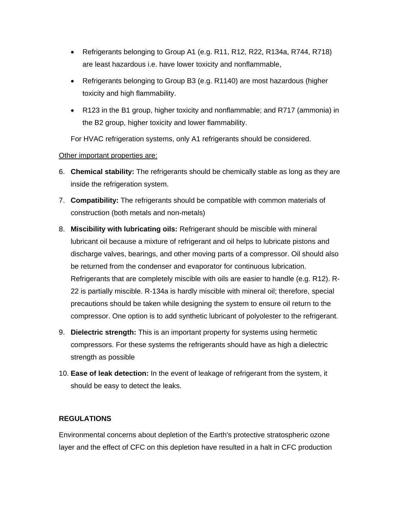- Refrigerants belonging to Group A1 (e.g. R11, R12, R22, R134a, R744, R718) are least hazardous i.e. have lower toxicity and nonflammable,
- Refrigerants belonging to Group B3 (e.g. R1140) are most hazardous (higher toxicity and high flammability.
- R123 in the B1 group, higher toxicity and nonflammable; and R717 (ammonia) in the B2 group, higher toxicity and lower flammability.

For HVAC refrigeration systems, only A1 refrigerants should be considered.

# Other important properties are:

- 6. **Chemical stability:** The refrigerants should be chemically stable as long as they are inside the refrigeration system.
- 7. **Compatibility:** The refrigerants should be compatible with common materials of construction (both metals and non-metals)
- 8. **Miscibility with lubricating oils:** Refrigerant should be miscible with mineral lubricant oil because a mixture of refrigerant and oil helps to lubricate pistons and discharge valves, bearings, and other moving parts of a compressor. Oil should also be returned from the condenser and evaporator for continuous lubrication. Refrigerants that are completely miscible with oils are easier to handle (e.g. R12). R-22 is partially miscible. R-134a is hardly miscible with mineral oil; therefore, special precautions should be taken while designing the system to ensure oil return to the compressor. One option is to add synthetic lubricant of polyolester to the refrigerant.
- 9. **Dielectric strength:** This is an important property for systems using hermetic compressors. For these systems the refrigerants should have as high a dielectric strength as possible
- 10. **Ease of leak detection:** In the event of leakage of refrigerant from the system, it should be easy to detect the leaks.

# **REGULATIONS**

Environmental concerns about depletion of the Earth's protective stratospheric ozone layer and the effect of CFC on this depletion have resulted in a halt in CFC production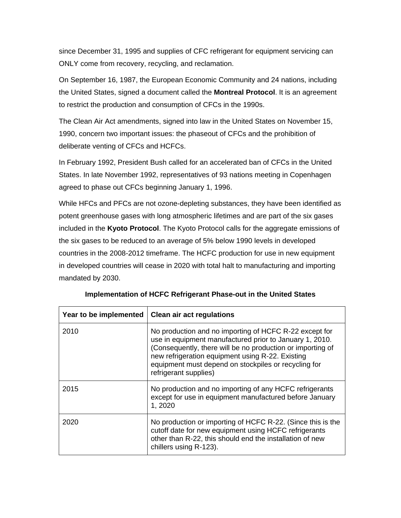since December 31, 1995 and supplies of CFC refrigerant for equipment servicing can ONLY come from recovery, recycling, and reclamation.

On September 16, 1987, the European Economic Community and 24 nations, including the United States, signed a document called the **Montreal Protocol**. It is an agreement to restrict the production and consumption of CFCs in the 1990s.

The Clean Air Act amendments, signed into law in the United States on November 15, 1990, concern two important issues: the phaseout of CFCs and the prohibition of deliberate venting of CFCs and HCFCs.

In February 1992, President Bush called for an accelerated ban of CFCs in the United States. In late November 1992, representatives of 93 nations meeting in Copenhagen agreed to phase out CFCs beginning January 1, 1996.

While HFCs and PFCs are not ozone-depleting substances, they have been identified as potent greenhouse gases with long atmospheric lifetimes and are part of the six gases included in the **Kyoto Protocol**. The Kyoto Protocol calls for the aggregate emissions of the six gases to be reduced to an average of 5% below 1990 levels in developed countries in the 2008-2012 timeframe. The HCFC production for use in new equipment in developed countries will cease in 2020 with total halt to manufacturing and importing mandated by 2030.

| Year to be implemented | <b>Clean air act regulations</b>                                                                                                                                                                                                                                                                                     |
|------------------------|----------------------------------------------------------------------------------------------------------------------------------------------------------------------------------------------------------------------------------------------------------------------------------------------------------------------|
| 2010                   | No production and no importing of HCFC R-22 except for<br>use in equipment manufactured prior to January 1, 2010.<br>(Consequently, there will be no production or importing of<br>new refrigeration equipment using R-22. Existing<br>equipment must depend on stockpiles or recycling for<br>refrigerant supplies) |
| 2015                   | No production and no importing of any HCFC refrigerants<br>except for use in equipment manufactured before January<br>1, 2020                                                                                                                                                                                        |
| 2020                   | No production or importing of HCFC R-22. (Since this is the<br>cutoff date for new equipment using HCFC refrigerants<br>other than R-22, this should end the installation of new<br>chillers using R-123).                                                                                                           |

**Implementation of HCFC Refrigerant Phase-out in the United States**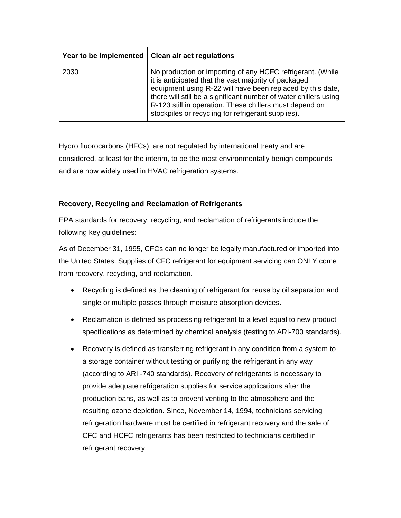|      | Year to be implemented   Clean air act regulations                                                                                                                                                                                                                                                                                                                    |
|------|-----------------------------------------------------------------------------------------------------------------------------------------------------------------------------------------------------------------------------------------------------------------------------------------------------------------------------------------------------------------------|
| 2030 | No production or importing of any HCFC refrigerant. (While<br>it is anticipated that the vast majority of packaged<br>equipment using R-22 will have been replaced by this date,<br>there will still be a significant number of water chillers using<br>R-123 still in operation. These chillers must depend on<br>stockpiles or recycling for refrigerant supplies). |

Hydro fluorocarbons (HFCs), are not regulated by international treaty and are considered, at least for the interim, to be the most environmentally benign compounds and are now widely used in HVAC refrigeration systems.

# **Recovery, Recycling and Reclamation of Refrigerants**

EPA standards for recovery, recycling, and reclamation of refrigerants include the following key guidelines:

As of December 31, 1995, CFCs can no longer be legally manufactured or imported into the United States. Supplies of CFC refrigerant for equipment servicing can ONLY come from recovery, recycling, and reclamation.

- Recycling is defined as the cleaning of refrigerant for reuse by oil separation and single or multiple passes through moisture absorption devices.
- Reclamation is defined as processing refrigerant to a level equal to new product specifications as determined by chemical analysis (testing to ARI-700 standards).
- Recovery is defined as transferring refrigerant in any condition from a system to a storage container without testing or purifying the refrigerant in any way (according to ARI -740 standards). Recovery of refrigerants is necessary to provide adequate refrigeration supplies for service applications after the production bans, as well as to prevent venting to the atmosphere and the resulting ozone depletion. Since, November 14, 1994, technicians servicing refrigeration hardware must be certified in refrigerant recovery and the sale of CFC and HCFC refrigerants has been restricted to technicians certified in refrigerant recovery.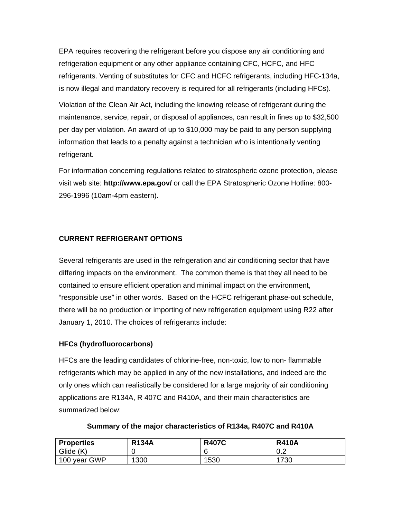EPA requires recovering the refrigerant before you dispose any air conditioning and refrigeration equipment or any other appliance containing CFC, HCFC, and HFC refrigerants. Venting of substitutes for CFC and HCFC refrigerants, including HFC-134a, is now illegal and mandatory recovery is required for all refrigerants (including HFCs).

Violation of the Clean Air Act, including the knowing release of refrigerant during the maintenance, service, repair, or disposal of appliances, can result in fines up to \$32,500 per day per violation. An award of up to \$10,000 may be paid to any person supplying information that leads to a penalty against a technician who is intentionally venting refrigerant.

For information concerning regulations related to stratospheric ozone protection, please visit web site: **<http://www.epa.gov/>** or call the EPA Stratospheric Ozone Hotline: 800- 296-1996 (10am-4pm eastern).

# **CURRENT REFRIGERANT OPTIONS**

Several refrigerants are used in the refrigeration and air conditioning sector that have differing impacts on the environment. The common theme is that they all need to be contained to ensure efficient operation and minimal impact on the environment, "responsible use" in other words. Based on the HCFC refrigerant phase-out schedule, there will be no production or importing of new refrigeration equipment using R22 after January 1, 2010. The choices of refrigerants include:

# **HFCs (hydrofluorocarbons)**

HFCs are the leading candidates of chlorine-free, non-toxic, low to non- flammable refrigerants which may be applied in any of the new installations, and indeed are the only ones which can realistically be considered for a large majority of air conditioning applications are R134A, R 407C and R410A, and their main characteristics are summarized below:

| <b>Properties</b> | <b>R134A</b> | <b>R407C</b> | <b>R410A</b> |
|-------------------|--------------|--------------|--------------|
| Glide (K)         |              | 6            | ററ<br>v.z    |
| 100 year GWP      | 1300         | 1530         | 1730         |

**Summary of the major characteristics of R134a, R407C and R410A**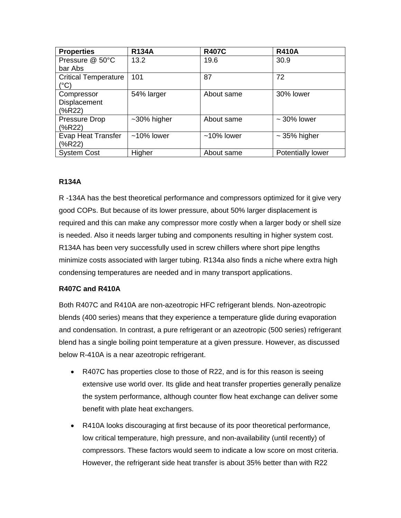| <b>Properties</b>           | <b>R134A</b>   | <b>R407C</b>  | <b>R410A</b>             |
|-----------------------------|----------------|---------------|--------------------------|
| Pressure @ 50°C             | 13.2           | 19.6          | 30.9                     |
| bar Abs                     |                |               |                          |
| <b>Critical Temperature</b> | 101            | 87            | 72                       |
| (°C)                        |                |               |                          |
| Compressor                  | 54% larger     | About same    | 30% lower                |
| Displacement                |                |               |                          |
| $(*R22)$                    |                |               |                          |
| <b>Pressure Drop</b>        | $~10\%$ higher | About same    | $\sim$ 30% lower         |
| $(*R22)$                    |                |               |                          |
| <b>Evap Heat Transfer</b>   | $~10\%$ lower  | $~10\%$ lower | $\sim$ 35% higher        |
| (%R22)                      |                |               |                          |
| <b>System Cost</b>          | Higher         | About same    | <b>Potentially lower</b> |

#### **R134A**

R -134A has the best theoretical performance and compressors optimized for it give very good COPs. But because of its lower pressure, about 50% larger displacement is required and this can make any compressor more costly when a larger body or shell size is needed. Also it needs larger tubing and components resulting in higher system cost. R134A has been very successfully used in screw chillers where short pipe lengths minimize costs associated with larger tubing. R134a also finds a niche where extra high condensing temperatures are needed and in many transport applications.

# **R407C and R410A**

Both R407C and R410A are non-azeotropic HFC refrigerant blends. Non-azeotropic blends (400 series) means that they experience a temperature glide during evaporation and condensation. In contrast, a pure refrigerant or an azeotropic (500 series) refrigerant blend has a single boiling point temperature at a given pressure. However, as discussed below R-410A is a near azeotropic refrigerant.

- R407C has properties close to those of R22, and is for this reason is seeing extensive use world over. Its glide and heat transfer properties generally penalize the system performance, although counter flow heat exchange can deliver some benefit with plate heat exchangers.
- R410A looks discouraging at first because of its poor theoretical performance, low critical temperature, high pressure, and non-availability (until recently) of compressors. These factors would seem to indicate a low score on most criteria. However, the refrigerant side heat transfer is about 35% better than with R22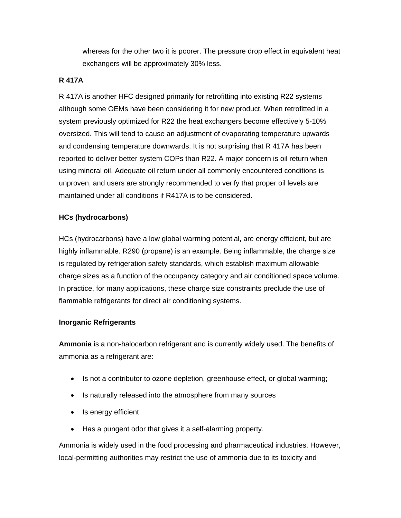whereas for the other two it is poorer. The pressure drop effect in equivalent heat exchangers will be approximately 30% less.

#### **R 417A**

R 417A is another HFC designed primarily for retrofitting into existing R22 systems although some OEMs have been considering it for new product. When retrofitted in a system previously optimized for R22 the heat exchangers become effectively 5-10% oversized. This will tend to cause an adjustment of evaporating temperature upwards and condensing temperature downwards. It is not surprising that R 417A has been reported to deliver better system COPs than R22. A major concern is oil return when using mineral oil. Adequate oil return under all commonly encountered conditions is unproven, and users are strongly recommended to verify that proper oil levels are maintained under all conditions if R417A is to be considered.

# **HCs (hydrocarbons)**

HCs (hydrocarbons) have a low global warming potential, are energy efficient, but are highly inflammable. R290 (propane) is an example. Being inflammable, the charge size is regulated by refrigeration safety standards, which establish maximum allowable charge sizes as a function of the occupancy category and air conditioned space volume. In practice, for many applications, these charge size constraints preclude the use of flammable refrigerants for direct air conditioning systems.

# **Inorganic Refrigerants**

**Ammonia** is a non-halocarbon refrigerant and is currently widely used. The benefits of ammonia as a refrigerant are:

- Is not a contributor to ozone depletion, greenhouse effect, or global warming;
- Is naturally released into the atmosphere from many sources
- Is energy efficient
- Has a pungent odor that gives it a self-alarming property.

Ammonia is widely used in the food processing and pharmaceutical industries. However, local-permitting authorities may restrict the use of ammonia due to its toxicity and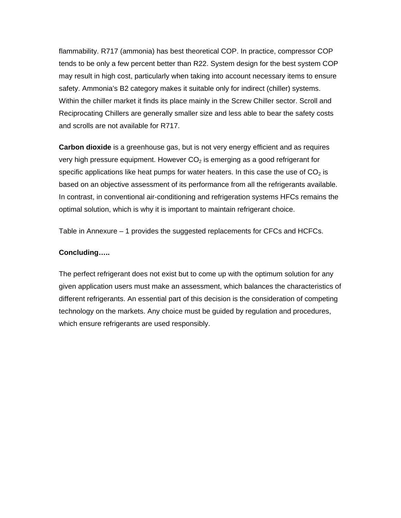flammability. R717 (ammonia) has best theoretical COP. In practice, compressor COP tends to be only a few percent better than R22. System design for the best system COP may result in high cost, particularly when taking into account necessary items to ensure safety. Ammonia's B2 category makes it suitable only for indirect (chiller) systems. Within the chiller market it finds its place mainly in the Screw Chiller sector. Scroll and Reciprocating Chillers are generally smaller size and less able to bear the safety costs and scrolls are not available for R717.

**Carbon dioxide** is a greenhouse gas, but is not very energy efficient and as requires very high pressure equipment. However  $CO<sub>2</sub>$  is emerging as a good refrigerant for specific applications like heat pumps for water heaters. In this case the use of  $CO<sub>2</sub>$  is based on an objective assessment of its performance from all the refrigerants available. In contrast, in conventional air-conditioning and refrigeration systems HFCs remains the optimal solution, which is why it is important to maintain refrigerant choice.

Table in Annexure – 1 provides the suggested replacements for CFCs and HCFCs.

#### **Concluding…..**

The perfect refrigerant does not exist but to come up with the optimum solution for any given application users must make an assessment, which balances the characteristics of different refrigerants. An essential part of this decision is the consideration of competing technology on the markets. Any choice must be guided by regulation and procedures, which ensure refrigerants are used responsibly.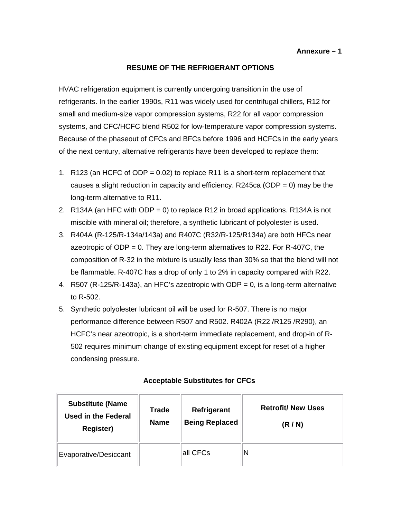#### **RESUME OF THE REFRIGERANT OPTIONS**

HVAC refrigeration equipment is currently undergoing transition in the use of refrigerants. In the earlier 1990s, R11 was widely used for centrifugal chillers, R12 for small and medium-size vapor compression systems, R22 for all vapor compression systems, and CFC/HCFC blend R502 for low-temperature vapor compression systems. Because of the phaseout of CFCs and BFCs before 1996 and HCFCs in the early years of the next century, alternative refrigerants have been developed to replace them:

- 1. R123 (an HCFC of ODP = 0.02) to replace R11 is a short-term replacement that causes a slight reduction in capacity and efficiency. R245ca (ODP =  $0$ ) may be the long-term alternative to R11.
- 2. R134A (an HFC with ODP = 0) to replace R12 in broad applications. R134A is not miscible with mineral oil; therefore, a synthetic lubricant of polyolester is used.
- 3. R404A (R-125/R-134a/143a) and R407C (R32/R-125/R134a) are both HFCs near azeotropic of ODP = 0. They are long-term alternatives to R22. For R-407C, the composition of R-32 in the mixture is usually less than 30% so that the blend will not be flammable. R-407C has a drop of only 1 to 2% in capacity compared with R22.
- 4. R507 (R-125/R-143a), an HFC's azeotropic with ODP = 0, is a long-term alternative to R-502.
- 5. Synthetic polyolester lubricant oil will be used for R-507. There is no major performance difference between R507 and R502. R402A (R22 /R125 /R290), an HCFC's near azeotropic, is a short-term immediate replacement, and drop-in of R-502 requires minimum change of existing equipment except for reset of a higher condensing pressure.

| <b>Substitute (Name</b><br><b>Used in the Federal</b><br><b>Register)</b> | Trade<br><b>Name</b> | Refrigerant<br><b>Being Replaced</b> | <b>Retrofit/ New Uses</b><br>(R/N) |
|---------------------------------------------------------------------------|----------------------|--------------------------------------|------------------------------------|
| Evaporative/Desiccant                                                     |                      | all CFCs                             | N                                  |

#### **Acceptable Substitutes for CFCs**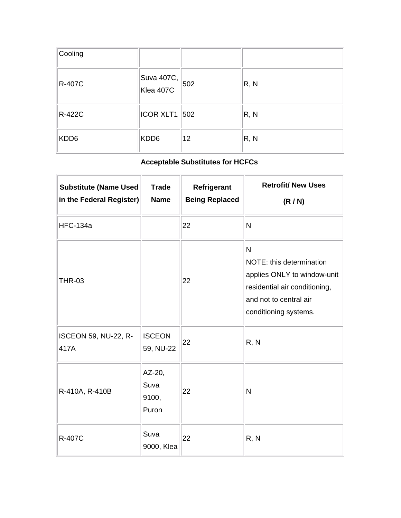| Cooling |                         |     |      |
|---------|-------------------------|-----|------|
| R-407C  | Suva 407C,<br>Klea 407C | 502 | R, N |
| R-422C  | $ ICOR$ XLT1 $ 502$     |     | R, N |
| KDD6    | KDD6                    | 12  | R, N |

# **Acceptable Substitutes for HCFCs**

| <b>Substitute (Name Used</b><br>in the Federal Register) | <b>Trade</b><br><b>Name</b>      | Refrigerant<br><b>Being Replaced</b> | <b>Retrofit/ New Uses</b><br>(R/N)                                                                                                                          |
|----------------------------------------------------------|----------------------------------|--------------------------------------|-------------------------------------------------------------------------------------------------------------------------------------------------------------|
| <b>HFC-134a</b>                                          |                                  | 22                                   | N                                                                                                                                                           |
| <b>THR-03</b>                                            |                                  | 22                                   | $\mathsf{N}$<br>NOTE: this determination<br>applies ONLY to window-unit<br>residential air conditioning,<br>and not to central air<br>conditioning systems. |
| <b>ISCEON 59, NU-22, R-</b><br>417A                      | <b>ISCEON</b><br>59, NU-22       | 22                                   | R, N                                                                                                                                                        |
| R-410A, R-410B                                           | AZ-20,<br>Suva<br>9100,<br>Puron | 22                                   | N                                                                                                                                                           |
| <b>R-407C</b>                                            | Suva<br>9000, Klea               | 22                                   | R, N                                                                                                                                                        |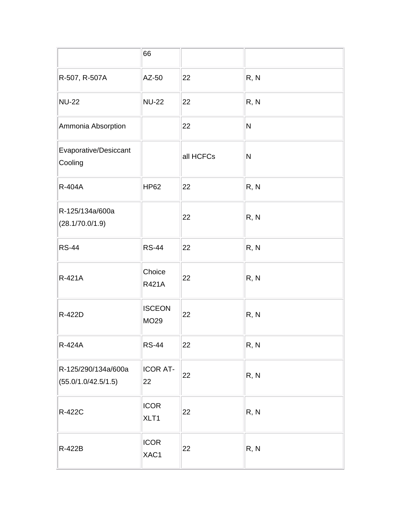|                                            | 66                     |           |      |
|--------------------------------------------|------------------------|-----------|------|
| R-507, R-507A                              | AZ-50                  | 22        | R, N |
| <b>NU-22</b>                               | <b>NU-22</b>           | 22        | R, N |
| Ammonia Absorption                         |                        | 22        | N    |
| Evaporative/Desiccant<br>Cooling           |                        | all HCFCs | N    |
| R-404A                                     | <b>HP62</b>            | 22        | R, N |
| R-125/134a/600a<br>(28.1/70.0/1.9)         |                        | 22        | R, N |
| <b>RS-44</b>                               | <b>RS-44</b>           | 22        | R, N |
| R-421A                                     | Choice<br><b>R421A</b> | 22        | R, N |
| R-422D                                     | <b>ISCEON</b><br>MO29  | 22        | R, N |
| <b>R-424A</b>                              | <b>RS-44</b>           | 22        | R, N |
| R-125/290/134a/600a<br>(55.0/1.0/42.5/1.5) | ICOR AT-<br>22         | 22        | R, N |
| R-422C                                     | <b>ICOR</b><br>XLT1    | 22        | R, N |
| R-422B                                     | <b>ICOR</b><br>XAC1    | 22        | R, N |